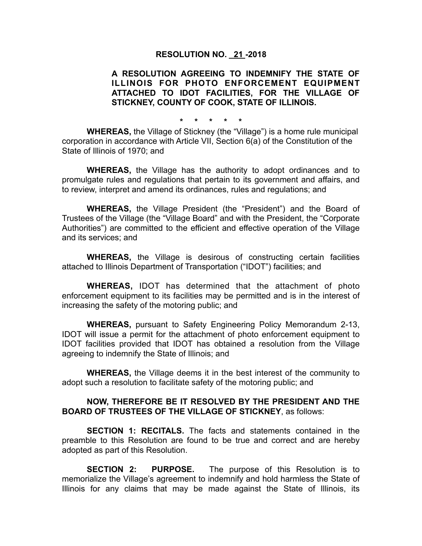## **RESOLUTION NO. 21 -2018**

## **A RESOLUTION AGREEING TO INDEMNIFY THE STATE OF ILLINOIS FOR PHOTO ENFORCEMENT EQUIPMENT ATTACHED TO IDOT FACILITIES, FOR THE VILLAGE OF STICKNEY, COUNTY OF COOK, STATE OF ILLINOIS.**

**\* \* \* \* \*** 

**WHEREAS,** the Village of Stickney (the "Village") is a home rule municipal corporation in accordance with Article VII, Section 6(a) of the Constitution of the State of Illinois of 1970; and

**WHEREAS,** the Village has the authority to adopt ordinances and to promulgate rules and regulations that pertain to its government and affairs, and to review, interpret and amend its ordinances, rules and regulations; and

**WHEREAS,** the Village President (the "President") and the Board of Trustees of the Village (the "Village Board" and with the President, the "Corporate Authorities") are committed to the efficient and effective operation of the Village and its services; and

**WHEREAS,** the Village is desirous of constructing certain facilities attached to Illinois Department of Transportation ("IDOT") facilities; and

**WHEREAS,** IDOT has determined that the attachment of photo enforcement equipment to its facilities may be permitted and is in the interest of increasing the safety of the motoring public; and

**WHEREAS,** pursuant to Safety Engineering Policy Memorandum 2-13, IDOT will issue a permit for the attachment of photo enforcement equipment to IDOT facilities provided that IDOT has obtained a resolution from the Village agreeing to indemnify the State of Illinois; and

**WHEREAS,** the Village deems it in the best interest of the community to adopt such a resolution to facilitate safety of the motoring public; and

## **NOW, THEREFORE BE IT RESOLVED BY THE PRESIDENT AND THE BOARD OF TRUSTEES OF THE VILLAGE OF STICKNEY**, as follows:

**SECTION 1: RECITALS.** The facts and statements contained in the preamble to this Resolution are found to be true and correct and are hereby adopted as part of this Resolution.

**SECTION 2: PURPOSE.** The purpose of this Resolution is to memorialize the Village's agreement to indemnify and hold harmless the State of Illinois for any claims that may be made against the State of Illinois, its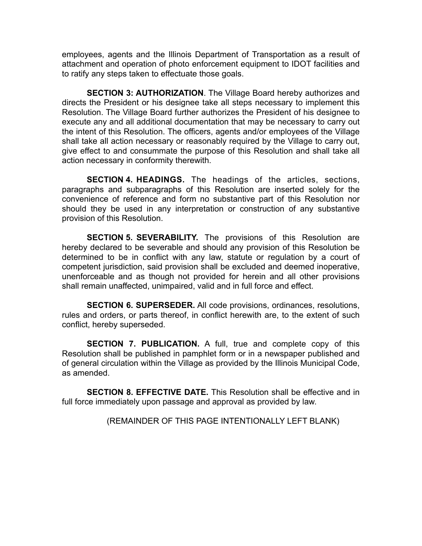employees, agents and the Illinois Department of Transportation as a result of attachment and operation of photo enforcement equipment to IDOT facilities and to ratify any steps taken to effectuate those goals.

**SECTION 3: AUTHORIZATION**. The Village Board hereby authorizes and directs the President or his designee take all steps necessary to implement this Resolution. The Village Board further authorizes the President of his designee to execute any and all additional documentation that may be necessary to carry out the intent of this Resolution. The officers, agents and/or employees of the Village shall take all action necessary or reasonably required by the Village to carry out, give effect to and consummate the purpose of this Resolution and shall take all action necessary in conformity therewith.

**SECTION 4. HEADINGS.** The headings of the articles, sections, paragraphs and subparagraphs of this Resolution are inserted solely for the convenience of reference and form no substantive part of this Resolution nor should they be used in any interpretation or construction of any substantive provision of this Resolution.

**SECTION 5. SEVERABILITY.** The provisions of this Resolution are hereby declared to be severable and should any provision of this Resolution be determined to be in conflict with any law, statute or regulation by a court of competent jurisdiction, said provision shall be excluded and deemed inoperative, unenforceable and as though not provided for herein and all other provisions shall remain unaffected, unimpaired, valid and in full force and effect.

**SECTION 6. SUPERSEDER.** All code provisions, ordinances, resolutions, rules and orders, or parts thereof, in conflict herewith are, to the extent of such conflict, hereby superseded.

**SECTION 7. PUBLICATION.** A full, true and complete copy of this Resolution shall be published in pamphlet form or in a newspaper published and of general circulation within the Village as provided by the Illinois Municipal Code, as amended.

**SECTION 8. EFFECTIVE DATE.** This Resolution shall be effective and in full force immediately upon passage and approval as provided by law.

(REMAINDER OF THIS PAGE INTENTIONALLY LEFT BLANK)